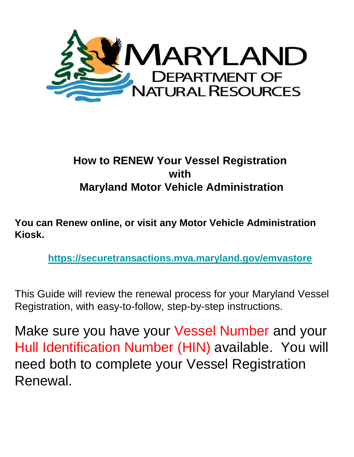

#### **How to RENEW Your Vessel Registration with Maryland Motor Vehicle Administration**

**You can Renew online, or visit any Motor Vehicle Administration Kiosk.**

**<https://securetransactions.mva.maryland.gov/emvastore>**

This Guide will review the renewal process for your Maryland Vessel Registration, with easy-to-follow, step-by-step instructions.

Make sure you have your Vessel Number and your Hull Identification Number (HIN) available. You will need both to complete your Vessel Registration Renewal.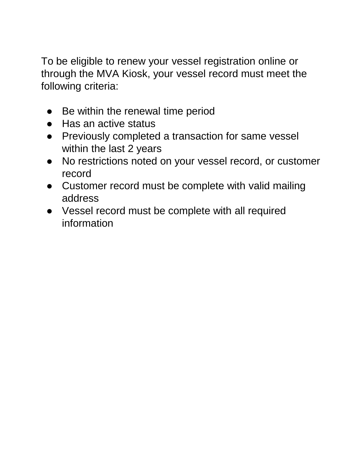To be eligible to renew your vessel registration online or through the MVA Kiosk, your vessel record must meet the following criteria:

- Be within the renewal time period
- Has an active status
- Previously completed a transaction for same vessel within the last 2 years
- No restrictions noted on your vessel record, or customer record
- Customer record must be complete with valid mailing address
- Vessel record must be complete with all required information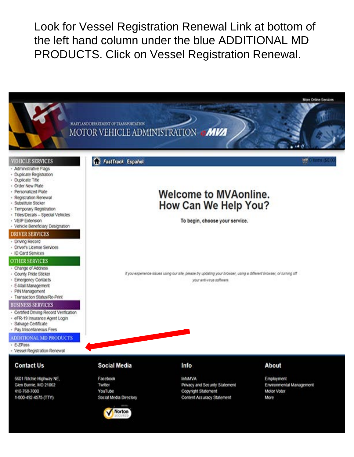Look for Vessel Registration Renewal Link at bottom of the left hand column under the blue ADDITIONAL MD PRODUCTS. Click on Vessel Registration Renewal.

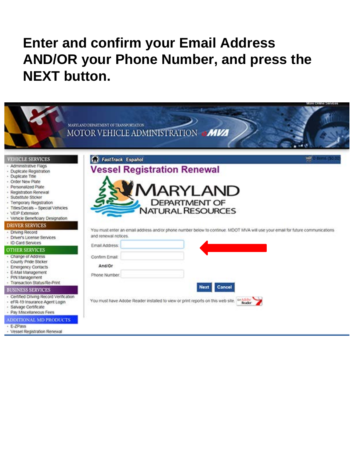# **Enter and confirm your Email Address AND/OR your Phone Number, and press the NEXT button.**



- E-ZPass
- · Vessel Registration Renewal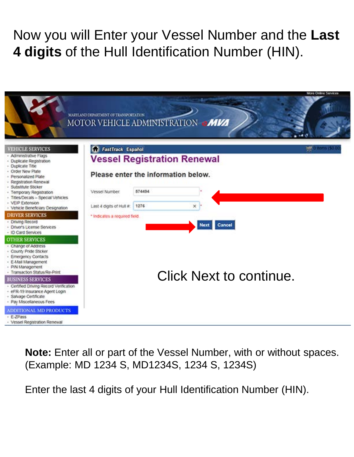## Now you will Enter your Vessel Number and the **Last 4 digits** of the Hull Identification Number (HIN).

|                                                                                                                                                   |                                                                            |        |              |      |                         | More Online Services      |
|---------------------------------------------------------------------------------------------------------------------------------------------------|----------------------------------------------------------------------------|--------|--------------|------|-------------------------|---------------------------|
|                                                                                                                                                   | MARYLAND DEPARTMENT OF TRANSPORTATION<br>MOTOR VEHICLE ADMINISTRATION MIZZ |        |              |      |                         |                           |
| <b>VEHICLE SERVICES</b>                                                                                                                           | FastTrack Español                                                          |        |              |      |                         | <b>Mar</b> Distants (\$p) |
| - Administrative Flags<br>- Duplicate Registration<br>- Duplicate Title                                                                           | <b>Vessel Registration Renewal</b>                                         |        |              |      |                         |                           |
| - Order New Plate<br>- Personalized Plate<br>- Registration Renewal                                                                               | Please enter the information below.                                        |        |              |      |                         |                           |
| - Substitute Sticker<br>- Temporary Registration<br>- Titles/Decals - Special Vehicles                                                            | Vessel Number.                                                             | 574494 |              |      |                         |                           |
| - VEIP Extension<br>- Vehicle Beneficiary Designation                                                                                             | Last 4 digits of Hull #:                                                   | 1276   | $\mathsf{x}$ |      |                         |                           |
| <b>DRIVER SERVICES</b>                                                                                                                            | * Indicates a required field.                                              |        |              |      |                         |                           |
| · Driving Record<br>· Driver's License Services<br>- ID Card Services                                                                             |                                                                            |        |              | Next | Cancel                  |                           |
| <b>OTHER SERVICES</b>                                                                                                                             |                                                                            |        |              |      |                         |                           |
| - Change of Address<br>- County Pride Sticker<br>- Emergency Contacts<br>- E-Mail Management<br>- PIN Management<br>- Transaction Status/Re-Print |                                                                            |        |              |      |                         |                           |
| <b>BUSINESS SERVICES</b>                                                                                                                          |                                                                            |        |              |      | Click Next to continue. |                           |
| - Certified Driving Record Verification<br>- eFR-19 Insurance Agent Login<br>- Salvage Certificate<br>- Pay Miscellaneous Fees                    |                                                                            |        |              |      |                         |                           |
| ADDITIONAL MD PRODUCTS<br>· E-ZPass<br>- Vessel Registration Renewal                                                                              |                                                                            |        |              |      |                         |                           |

**Note:** Enter all or part of the Vessel Number, with or without spaces. (Example: MD 1234 S, MD1234S, 1234 S, 1234S)

Enter the last 4 digits of your Hull Identification Number (HIN).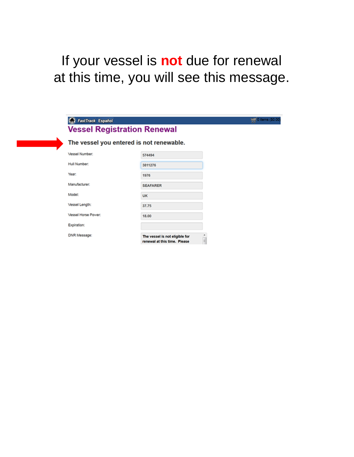## If your vessel is **not** due for renewal at this time, you will see this message.

| <b>G</b> FastTrack Español |                                                                | $\frac{1}{2}$ 0 items (\$0.00 |
|----------------------------|----------------------------------------------------------------|-------------------------------|
|                            | <b>Vessel Registration Renewal</b>                             |                               |
|                            | The vessel you entered is not renewable.                       |                               |
| Vessel Number:             | 574494                                                         |                               |
| Hull Number:               | 3811276                                                        |                               |
| Year:                      | 1976                                                           |                               |
| Manufacturer:              | <b>SEAFARER</b>                                                |                               |
| Model:                     | <b>UK</b>                                                      |                               |
| Vessel Length:             | 37.75                                                          |                               |
| Vessel Horse Power:        | 18.00                                                          |                               |
| Expiration:                |                                                                |                               |
| DNR Message:               | The vessel is not eligible for<br>renewal at this time. Please |                               |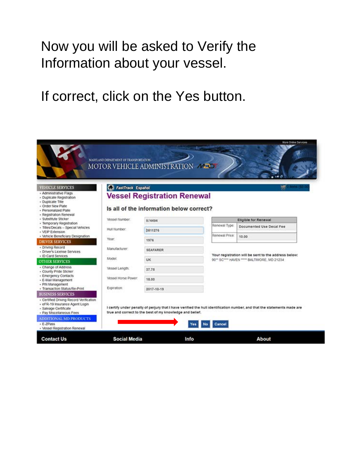### Now you will be asked to Verify the Information about your vessel.

If correct, click on the Yes button.

|                                                                                                                                                            | MARYLAND DEPARTMENT OF TRANSPORTATION | MOTOR VEHICLE ADMINISTRATION                                                   |                |                                                                                                                          |
|------------------------------------------------------------------------------------------------------------------------------------------------------------|---------------------------------------|--------------------------------------------------------------------------------|----------------|--------------------------------------------------------------------------------------------------------------------------|
| <b>VEHICLE SERVICES</b><br>- Administrative Flags<br>- Duplicate Registration<br>- Duplicate Title<br>- Order New Plate<br>- Personalized Plate            | FastTrack Español                     | <b>Vessel Registration Renewal</b><br>Is all of the information below correct? |                |                                                                                                                          |
| - Registration Renewal<br>- Substitute Sticker                                                                                                             | Vessel Number.                        | 574494                                                                         |                | Eligible for Renewal                                                                                                     |
| - Temporary Registration<br>- Titles/Decals -- Special Vehicles                                                                                            | Hull Number:                          | 0811276                                                                        | Renewal Type:  | Documented Use Decal Fee                                                                                                 |
| + VEIP Extension<br>- Vehicle Beneficiary Designation                                                                                                      | Year:                                 | 1976                                                                           | Renewal Price: | 10.00                                                                                                                    |
| <b>DRIVER SERVICES</b><br>· Driving Record<br>· Driver's License Services                                                                                  | Manufacturer                          | <b>SEAFARER</b>                                                                |                | Your registration will be sent to the address below:                                                                     |
| · ID Card Services<br><b>OTHER SERVICES</b>                                                                                                                | Model:                                | <b>UK</b>                                                                      |                | 90** SC**** HAVEN ***** BALTIMORE, MD 21234                                                                              |
| - Change of Address<br>- County Pride Sticker                                                                                                              | Vessel Length:                        | 37.75                                                                          |                |                                                                                                                          |
| - Emergency Contacts<br>- E-Mail Management                                                                                                                | Vessel Horse Power:                   | 18.00                                                                          |                |                                                                                                                          |
| - PIN Management<br>- Transaction Status/Re-Print                                                                                                          | Expiration:                           | $2017 - 10 - 19$                                                               |                |                                                                                                                          |
| <b>BUSINESS SERVICES</b><br>- Certified Driving Record Verification<br>- eFR-19 Insurance Agent Login<br>- Salvage Certificate<br>- Pay Miscellaneous Fees |                                       | true and correct to the best of my knowledge and belief.                       |                | I certify under penalty of perjury that I have verified the hull identification number, and that the statements made are |
| <b>ADDITIONAL MD PRODUCTS</b><br>$E-ZPass$<br>- Vessel Registration Renewal                                                                                |                                       |                                                                                | Cancel<br>Yes  |                                                                                                                          |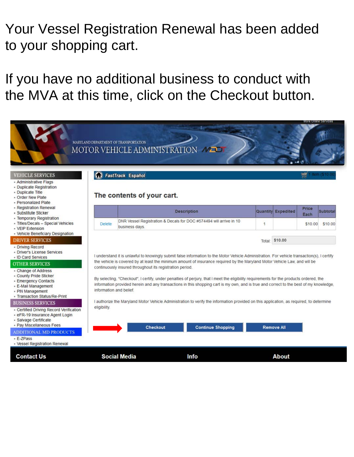Your Vessel Registration Renewal has been added to your shopping cart.

If you have no additional business to conduct with the MVA at this time, click on the Checkout button.

|                                                                                                                                                            |                         | MARYLAND DEPARTMENT OF TRANSPORTATION<br>MOTOR VEHICLE ADMINISTRATION MADE |                    |                                                                                                                                                                                                                                                                                   |                |                           |                            | More Online Services |
|------------------------------------------------------------------------------------------------------------------------------------------------------------|-------------------------|----------------------------------------------------------------------------|--------------------|-----------------------------------------------------------------------------------------------------------------------------------------------------------------------------------------------------------------------------------------------------------------------------------|----------------|---------------------------|----------------------------|----------------------|
| <b>VEHICLE SERVICES</b><br>- Administrative Flags<br>· Duplicate Registration<br>- Duplicate Title<br>- Order New Plate                                    |                         | FastTrack Español<br>The contents of your cart.                            |                    |                                                                                                                                                                                                                                                                                   |                |                           | <b>300 1 Item (\$10 00</b> |                      |
| · Personalized Plate<br>- Registration Renewal<br>• Substitute Sticker                                                                                     |                         |                                                                            | <b>Description</b> |                                                                                                                                                                                                                                                                                   |                | <b>Quantity Expedited</b> | Price                      | <b>Subtotal</b>      |
| - Temporary Registration<br>- Titles/Decals - Special Vehicles<br>- VEIP Extension                                                                         | <b>Delete</b>           | business days.                                                             |                    | DNR Vessel Registration & Decals for DOC #574494 will arrive in 10                                                                                                                                                                                                                | $\overline{1}$ |                           | Each                       | \$10.00 \$10.00      |
| - Vehicle Beneficiary Designation<br><b>DRIVER SERVICES</b><br>- Driving Record<br>· Driver's License Services                                             |                         |                                                                            |                    | I understand it is unlawful to knowingly submit false information to the Motor Vehicle Administration. For vehicle transaction(s), I certify                                                                                                                                      | Total:         | \$10.00                   |                            |                      |
| - ID Card Services<br><b>OTHER SERVICES</b><br>- Change of Address                                                                                         |                         | continuously insured throughout its registration period.                   |                    | the vehicle is covered by at least the minimum amount of insurance required by the Maryland Motor Vehicle Law, and will be                                                                                                                                                        |                |                           |                            |                      |
| - County Pride Sticker<br>- Emergency Contacts<br>- E-Mail Management<br>- PIN Management<br>- Transaction Status/Re-Print                                 | information and belief. |                                                                            |                    | By selecting, "Checkout", I certify, under penalties of perjury, that I meet the eligibility requirements for the products ordered, the<br>information provided herein and any transactions in this shopping cart is my own, and is true and correct to the best of my knowledge, |                |                           |                            |                      |
| <b>BUSINESS SERVICES</b><br>- Certified Driving Record Verification<br>· eFR-19 Insurance Agent Login<br>- Salvage Certificate<br>- Pay Miscellaneous Fees | eligibility.            |                                                                            |                    | I authorize the Maryland Motor Vehicle Administration to verify the information provided on this application, as required, to determine                                                                                                                                           |                |                           |                            |                      |
| <b>ADDITIONAL MD PRODUCTS</b><br>- E-ZPass<br>- Vessel Registration Renewal                                                                                |                         | <b>Checkout</b>                                                            |                    | <b>Continue Shopping</b>                                                                                                                                                                                                                                                          |                | <b>Remove All</b>         |                            |                      |
| <b>Contact Us</b>                                                                                                                                          |                         | <b>Social Media</b>                                                        |                    | Info                                                                                                                                                                                                                                                                              |                | <b>About</b>              |                            |                      |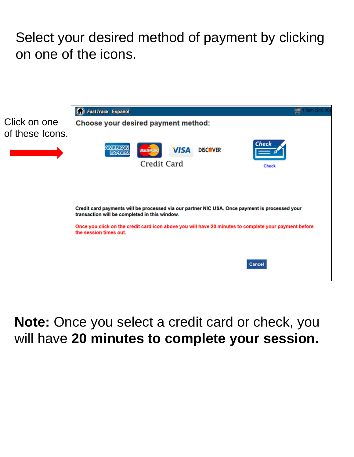### Select your desired method of payment by clicking on one of the icons.



## **Note:** Once you select a credit card or check, you will have **20 minutes to complete your session.**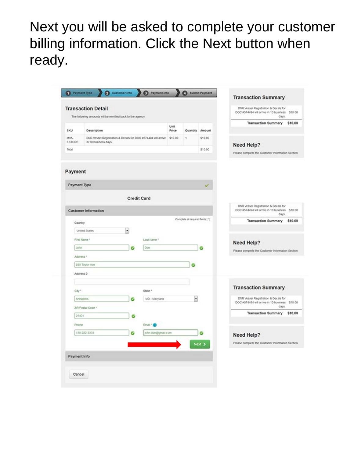Next you will be asked to complete your customer billing information. Click the Next button when ready.

|              | <b>Transaction Detail</b>                                            |   |                    |               |                                  |         | DNR Vessel Registration & Decals for<br>DOC #574494 will arrive in 10 business \$10.00 |
|--------------|----------------------------------------------------------------------|---|--------------------|---------------|----------------------------------|---------|----------------------------------------------------------------------------------------|
|              | The following amounts will be remitted back to the agency.           |   |                    |               |                                  |         | days.<br>Transaction Summary \$10,00                                                   |
| <b>SKU</b>   | Description                                                          |   |                    | Unit<br>Price | Quantity                         | Amount  |                                                                                        |
| M/A-         | DNR Vessel Registration & Decals for DOC #574494 will arrive \$10.00 |   |                    |               | đ,                               | \$10.00 |                                                                                        |
| ESTORE       | in 10 business days.                                                 |   |                    |               |                                  |         | <b>Need Help?</b>                                                                      |
| Total        |                                                                      |   |                    |               |                                  | \$10.00 | Please complete the Customer Information Section                                       |
|              |                                                                      |   |                    |               |                                  |         |                                                                                        |
| Payment      |                                                                      |   |                    |               |                                  |         |                                                                                        |
|              |                                                                      |   |                    |               |                                  |         |                                                                                        |
| Payment Type |                                                                      |   |                    |               |                                  |         |                                                                                        |
|              |                                                                      |   |                    |               |                                  |         |                                                                                        |
|              |                                                                      |   | <b>Credit Card</b> |               |                                  |         |                                                                                        |
|              | <b>Customer Information</b>                                          |   |                    |               |                                  |         | DNR Vessel Registration & Decais for<br>DOC #574494 will arrive in 10 business \$10.00 |
|              |                                                                      |   |                    |               | Complete all required fields ["] |         | days.<br><b>Transaction Summary</b><br>\$10.00                                         |
| Country      | United States                                                        |   |                    |               |                                  |         |                                                                                        |
|              |                                                                      | × |                    |               |                                  |         |                                                                                        |
|              | First Name *                                                         |   | Last fiame."       |               |                                  |         | Need Help?                                                                             |
| John         |                                                                      |   | Dog                |               |                                  | Ø       | Please complete the Customer Information Section                                       |
| Address *    |                                                                      |   |                    |               |                                  |         |                                                                                        |
|              | 580 Taylor Ave                                                       |   |                    |               |                                  |         |                                                                                        |
| Address 2    |                                                                      |   |                    |               |                                  |         |                                                                                        |
|              |                                                                      |   |                    |               |                                  |         | <b>Transaction Summary</b>                                                             |
| City*        |                                                                      |   | State <sup>+</sup> |               |                                  |         |                                                                                        |
|              | Annapolis                                                            |   | MD - Maryland      |               | $\bullet$                        |         | DNR Vessel Registration & Decals for<br>DOC #574494 will arrive in 10 business \$10.00 |
|              | ZIP/Postal Code *                                                    |   |                    |               |                                  |         | days.                                                                                  |
| 21401        |                                                                      | ø |                    |               |                                  |         | \$10.00<br><b>Transaction Summary</b>                                                  |
| Phone        |                                                                      |   | Email * @          |               |                                  |         |                                                                                        |
|              | 410-222-3333                                                         | ø | john doe@gmail.com |               |                                  | ø       | <b>Need Help?</b>                                                                      |
|              |                                                                      |   |                    |               |                                  | Next >  | Please complete the Customer Information Section                                       |
|              |                                                                      |   |                    |               |                                  |         |                                                                                        |
| Payment Info |                                                                      |   |                    |               |                                  |         |                                                                                        |
|              |                                                                      |   |                    |               |                                  |         |                                                                                        |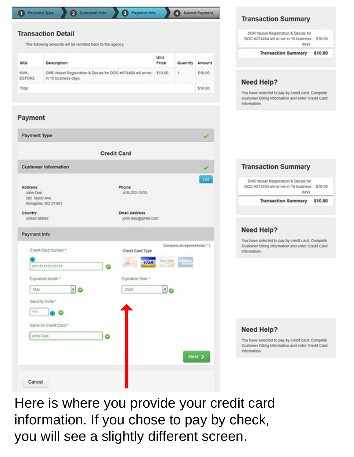|                          | <b>Transaction Detail</b>                                                                    |                                                     |                                  |         | DNR Vessel Registration & Decais for                                                                                    |
|--------------------------|----------------------------------------------------------------------------------------------|-----------------------------------------------------|----------------------------------|---------|-------------------------------------------------------------------------------------------------------------------------|
|                          | The following amounts will be remitted back to the agency.                                   |                                                     |                                  |         | DOC #574494 will arrive in 10 business \$10.00<br>days.                                                                 |
|                          |                                                                                              |                                                     |                                  |         | <b>Transaction Summary</b><br>\$10.00                                                                                   |
| SKU                      | Description                                                                                  | Unit<br><b>Price</b>                                | Quantity                         | Amount  |                                                                                                                         |
| MVA-<br>ESTORE           | DNR Vessel Registration & Decals for DOC #574494 will arrive \$10.00<br>in 10 business days. |                                                     | 1                                | \$10.00 | <b>Need Help?</b>                                                                                                       |
| Total                    |                                                                                              |                                                     |                                  | \$10.00 | You have selected to pay by credit card. Complete                                                                       |
|                          |                                                                                              |                                                     |                                  |         | Customer Billing Information and enter Credit Card<br>Information.                                                      |
| Payment                  |                                                                                              |                                                     |                                  |         |                                                                                                                         |
| Payment Type             |                                                                                              |                                                     |                                  |         |                                                                                                                         |
|                          | <b>Credit Card</b>                                                                           |                                                     |                                  |         |                                                                                                                         |
|                          | <b>Customer Information</b>                                                                  |                                                     |                                  |         | <b>Transaction Summary</b>                                                                                              |
| Address<br>John Doe      | Phone<br>410-222-3333                                                                        |                                                     |                                  | Edd     | DNR Vessel Registration & Decais for<br>DOC #574494 will arrive in 10 business \$10.00<br>days.                         |
| 580 Taylor Ave           | Annapolis, MD 21401                                                                          |                                                     |                                  |         | <b>Transaction Summary</b><br>\$10.00                                                                                   |
| Country<br>United States | Email Address                                                                                | john doe@gmail.com                                  |                                  |         |                                                                                                                         |
| Payment Info             |                                                                                              |                                                     |                                  |         | <b>Need Help?</b>                                                                                                       |
|                          | Credit Card Number *                                                                         | Credit Card Type                                    | Complete all required fields [1] |         | You have selected to pay by credit card. Complete<br>Customer Billing Information and enter Credit Card<br>Information. |
|                          | 411111111111111<br>ø                                                                         | <b>DISCOVER</b><br><b><i><u>STARTONIANO</u></i></b> | <b>SECOND BANK</b>               |         |                                                                                                                         |
|                          | Expiration Month *<br>Expiration Year."                                                      |                                                     |                                  |         |                                                                                                                         |
| May                      | $\blacksquare$<br>2020                                                                       | $\blacksquare$                                      |                                  |         |                                                                                                                         |
| 111                      | Security Code *                                                                              |                                                     |                                  |         |                                                                                                                         |
|                          | Name on Credit Card *                                                                        |                                                     |                                  |         |                                                                                                                         |
|                          | John Doel                                                                                    |                                                     |                                  |         | <b>Need Help?</b>                                                                                                       |
|                          | ø                                                                                            |                                                     |                                  | Next >  | You have selected to pay by credit card. Complete<br>Customer Billing Information and enter Credit Card<br>Information. |

Here is where you provide your credit card information. If you chose to pay by check, you will see a slightly different screen.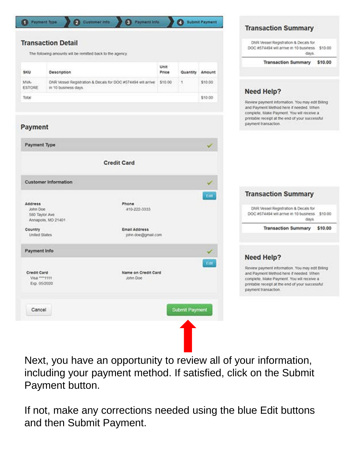|                                                              |                                                                                         |               |                |               | <b>Transaction Summary</b>                                                                                                                                                                                           |
|--------------------------------------------------------------|-----------------------------------------------------------------------------------------|---------------|----------------|---------------|----------------------------------------------------------------------------------------------------------------------------------------------------------------------------------------------------------------------|
|                                                              | <b>Transaction Detail</b><br>The following amounts will be remitted back to the agency. |               |                |               | DNR Vessel Registration & Decals for<br>DOC #574494 will arrive in 10 business \$10.00<br>days.                                                                                                                      |
|                                                              |                                                                                         |               |                |               | <b>Transaction Summary</b><br>\$10.00                                                                                                                                                                                |
| SKU                                                          | Description                                                                             | Unit<br>Price | Quantity       | <b>Amount</b> |                                                                                                                                                                                                                      |
| MVA-<br>ESTORE                                               | DNR Vessel Registration & Decals for DOC #574494 will arrive<br>in 10 business days.    | \$10.00       | 3              | \$10.00       |                                                                                                                                                                                                                      |
| Total                                                        |                                                                                         |               |                | \$10.00       | <b>Need Help?</b>                                                                                                                                                                                                    |
| Payment                                                      |                                                                                         |               |                |               | Review payment information. You may edit Billing<br>and Payment Method here if needed. When<br>complete, Make Payment. You will receive a<br>printable receipt at the end of your successful<br>payment transaction. |
| Payment Type                                                 |                                                                                         |               |                |               |                                                                                                                                                                                                                      |
|                                                              | <b>Credit Card</b>                                                                      |               |                |               |                                                                                                                                                                                                                      |
| <b>Customer Information</b>                                  |                                                                                         |               |                |               |                                                                                                                                                                                                                      |
|                                                              |                                                                                         |               |                | Edit          | <b>Transaction Summary</b>                                                                                                                                                                                           |
| Address<br>John Doe<br>580 Taylor Ave<br>Annapolis, MD 21401 | Phone<br>410-222-3333                                                                   |               |                |               | DNR Vessel Registration & Decals for<br>DOC #574494 will arrive in 10 business \$10.00<br>days.                                                                                                                      |
| Country<br><b>United States</b>                              | Email Address<br>john doe@gmail.com                                                     |               |                |               | <b>Transaction Summary</b><br>\$10.00                                                                                                                                                                                |
| Payment Info                                                 |                                                                                         |               |                |               | <b>Need Help?</b>                                                                                                                                                                                                    |
| Credit Card<br>Visa **** 1111<br>Exp. 05/2020                | Name on Credit Card<br>John Doe                                                         |               |                | Edit          | Review payment information. You may edit Billing<br>and Payment Method here if needed. When<br>complete, Make Payment. You will receive a<br>printable receipt at the end of your successful<br>payment transaction. |
| Cancel                                                       |                                                                                         |               | Submit Payment |               |                                                                                                                                                                                                                      |

Next, you have an opportunity to review all of your information, including your payment method. If satisfied, click on the Submit Payment button.

If not, make any corrections needed using the blue Edit buttons and then Submit Payment.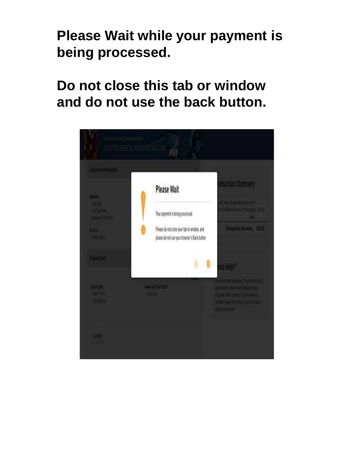# **Please Wait while your payment is being processed.**

## **Do not close this tab or window and do not use the back button.**